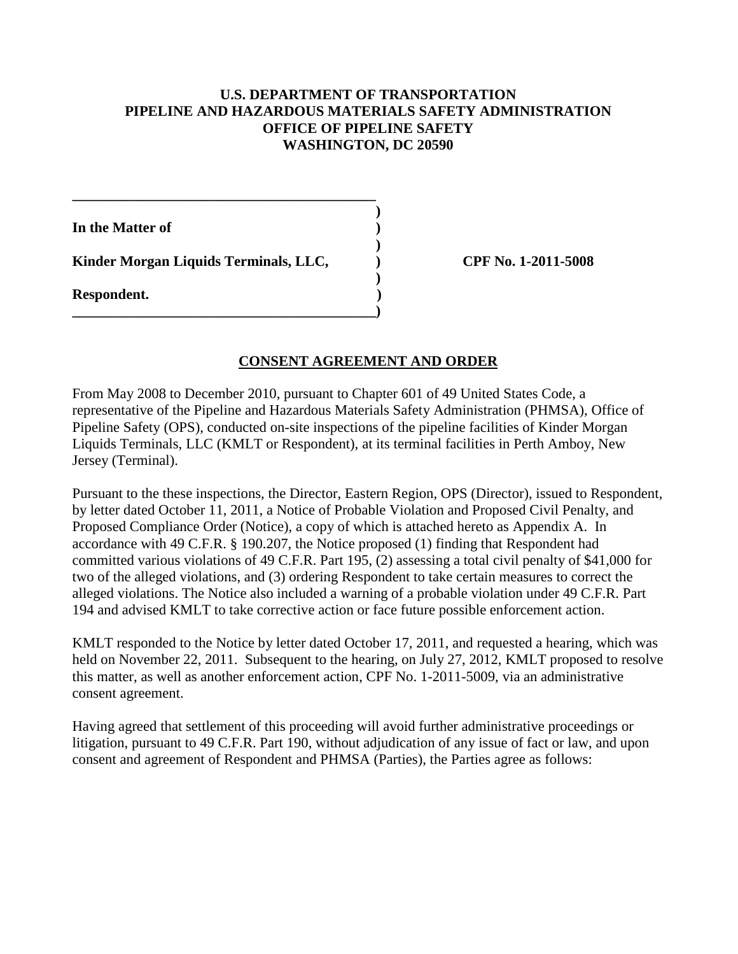#### **U.S. DEPARTMENT OF TRANSPORTATION PIPELINE AND HAZARDOUS MATERIALS SAFETY ADMINISTRATION OFFICE OF PIPELINE SAFETY WASHINGTON, DC 20590**

**In the Matter of )** 

 **)**  Kinder Morgan Liquids Terminals, LLC,  $\qquad \qquad$  CPF No. 1-2011-5008

**\_\_\_\_\_\_\_\_\_\_\_\_\_\_\_\_\_\_\_\_\_\_\_\_\_\_\_\_\_\_\_\_\_\_\_\_\_\_\_\_\_\_ )** 

**\_\_\_\_\_\_\_\_\_\_\_\_\_\_\_\_\_\_\_\_\_\_\_\_\_\_\_\_\_\_\_\_\_\_\_\_\_\_\_\_\_\_)** 

 **) Respondent. )**

## **CONSENT AGREEMENT AND ORDER**

From May 2008 to December 2010, pursuant to Chapter 601 of 49 United States Code, a representative of the Pipeline and Hazardous Materials Safety Administration (PHMSA), Office of Pipeline Safety (OPS), conducted on-site inspections of the pipeline facilities of Kinder Morgan Liquids Terminals, LLC (KMLT or Respondent), at its terminal facilities in Perth Amboy, New Jersey (Terminal).

Pursuant to the these inspections, the Director, Eastern Region, OPS (Director), issued to Respondent, by letter dated October 11, 2011, a Notice of Probable Violation and Proposed Civil Penalty, and Proposed Compliance Order (Notice), a copy of which is attached hereto as Appendix A. In accordance with 49 C.F.R. § 190.207, the Notice proposed (1) finding that Respondent had committed various violations of 49 C.F.R. Part 195, (2) assessing a total civil penalty of \$41,000 for two of the alleged violations, and (3) ordering Respondent to take certain measures to correct the alleged violations. The Notice also included a warning of a probable violation under 49 C.F.R. Part 194 and advised KMLT to take corrective action or face future possible enforcement action.

KMLT responded to the Notice by letter dated October 17, 2011, and requested a hearing, which was held on November 22, 2011. Subsequent to the hearing, on July 27, 2012, KMLT proposed to resolve this matter, as well as another enforcement action, CPF No. 1-2011-5009, via an administrative consent agreement.

Having agreed that settlement of this proceeding will avoid further administrative proceedings or litigation, pursuant to 49 C.F.R. Part 190, without adjudication of any issue of fact or law, and upon consent and agreement of Respondent and PHMSA (Parties), the Parties agree as follows: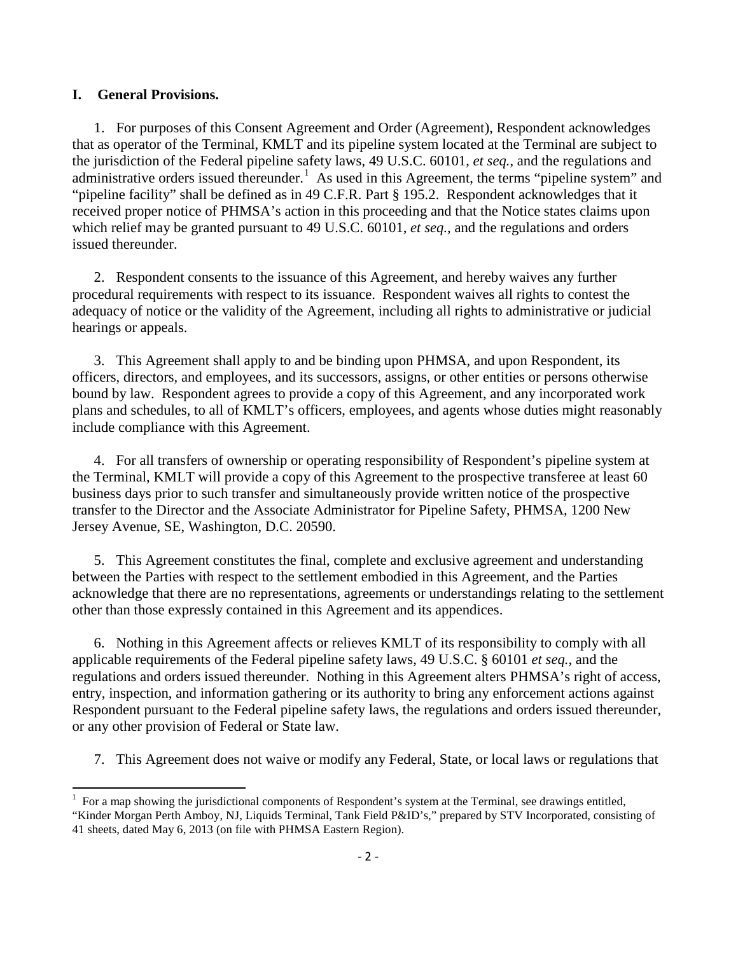#### **I. General Provisions.**

 $\overline{\phantom{a}}$ 

1. For purposes of this Consent Agreement and Order (Agreement), Respondent acknowledges that as operator of the Terminal, KMLT and its pipeline system located at the Terminal are subject to the jurisdiction of the Federal pipeline safety laws, 49 U.S.C. 60101, *et seq.*, and the regulations and administrative orders issued thereunder.<sup>1</sup> As used in this Agreement, the terms "pipeline system" and "pipeline facility" shall be defined as in 49 C.F.R. Part § 195.2. Respondent acknowledges that it received proper notice of PHMSA's action in this proceeding and that the Notice states claims upon which relief may be granted pursuant to 49 U.S.C. 60101, *et seq.,* and the regulations and orders issued thereunder.

2. Respondent consents to the issuance of this Agreement, and hereby waives any further procedural requirements with respect to its issuance. Respondent waives all rights to contest the adequacy of notice or the validity of the Agreement, including all rights to administrative or judicial hearings or appeals.

3. This Agreement shall apply to and be binding upon PHMSA, and upon Respondent, its officers, directors, and employees, and its successors, assigns, or other entities or persons otherwise bound by law. Respondent agrees to provide a copy of this Agreement, and any incorporated work plans and schedules, to all of KMLT's officers, employees, and agents whose duties might reasonably include compliance with this Agreement.

4. For all transfers of ownership or operating responsibility of Respondent's pipeline system at the Terminal, KMLT will provide a copy of this Agreement to the prospective transferee at least 60 business days prior to such transfer and simultaneously provide written notice of the prospective transfer to the Director and the Associate Administrator for Pipeline Safety, PHMSA, 1200 New Jersey Avenue, SE, Washington, D.C. 20590.

5. This Agreement constitutes the final, complete and exclusive agreement and understanding between the Parties with respect to the settlement embodied in this Agreement, and the Parties acknowledge that there are no representations, agreements or understandings relating to the settlement other than those expressly contained in this Agreement and its appendices.

6. Nothing in this Agreement affects or relieves KMLT of its responsibility to comply with all applicable requirements of the Federal pipeline safety laws, 49 U.S.C. § 60101 *et seq.*, and the regulations and orders issued thereunder. Nothing in this Agreement alters PHMSA's right of access, entry, inspection, and information gathering or its authority to bring any enforcement actions against Respondent pursuant to the Federal pipeline safety laws, the regulations and orders issued thereunder, or any other provision of Federal or State law.

7. This Agreement does not waive or modify any Federal, State, or local laws or regulations that

<sup>1</sup> For a map showing the jurisdictional components of Respondent's system at the Terminal, see drawings entitled, "Kinder Morgan Perth Amboy, NJ, Liquids Terminal, Tank Field P&ID's," prepared by STV Incorporated, consisting of 41 sheets, dated May 6, 2013 (on file with PHMSA Eastern Region).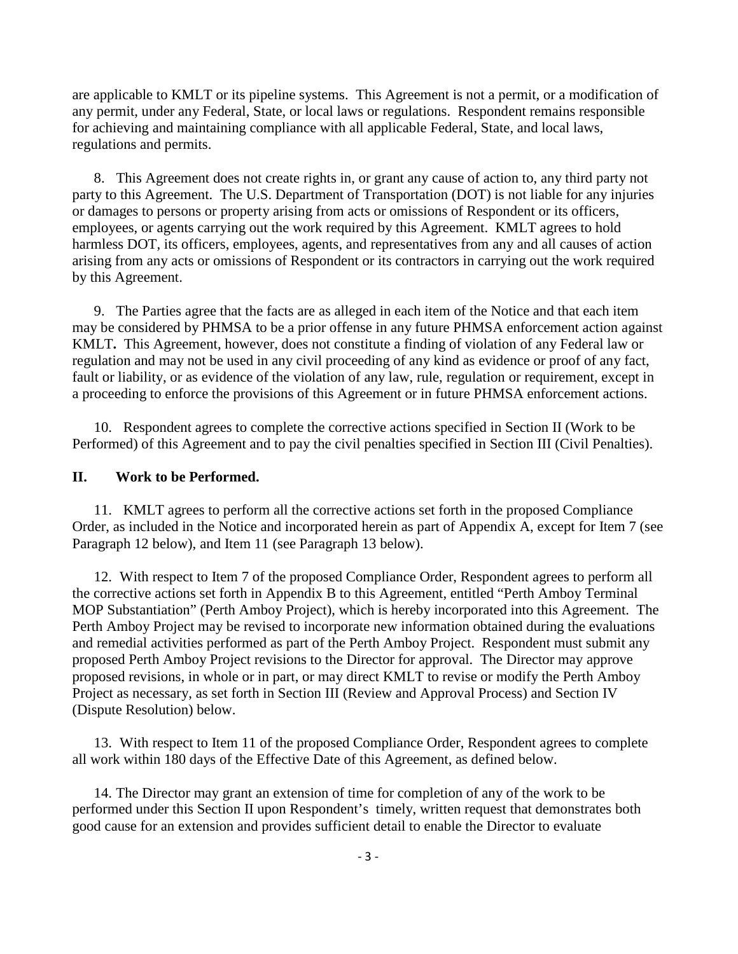are applicable to KMLT or its pipeline systems. This Agreement is not a permit, or a modification of any permit, under any Federal, State, or local laws or regulations. Respondent remains responsible for achieving and maintaining compliance with all applicable Federal, State, and local laws, regulations and permits.

8. This Agreement does not create rights in, or grant any cause of action to, any third party not party to this Agreement. The U.S. Department of Transportation (DOT) is not liable for any injuries or damages to persons or property arising from acts or omissions of Respondent or its officers, employees, or agents carrying out the work required by this Agreement. KMLT agrees to hold harmless DOT, its officers, employees, agents, and representatives from any and all causes of action arising from any acts or omissions of Respondent or its contractors in carrying out the work required by this Agreement.

9. The Parties agree that the facts are as alleged in each item of the Notice and that each item may be considered by PHMSA to be a prior offense in any future PHMSA enforcement action against KMLT**.** This Agreement, however, does not constitute a finding of violation of any Federal law or regulation and may not be used in any civil proceeding of any kind as evidence or proof of any fact, fault or liability, or as evidence of the violation of any law, rule, regulation or requirement, except in a proceeding to enforce the provisions of this Agreement or in future PHMSA enforcement actions.

10. Respondent agrees to complete the corrective actions specified in Section II (Work to be Performed) of this Agreement and to pay the civil penalties specified in Section III (Civil Penalties).

#### **II. Work to be Performed.**

11. KMLT agrees to perform all the corrective actions set forth in the proposed Compliance Order, as included in the Notice and incorporated herein as part of Appendix A, except for Item 7 (see Paragraph 12 below), and Item 11 (see Paragraph 13 below).

12. With respect to Item 7 of the proposed Compliance Order, Respondent agrees to perform all the corrective actions set forth in Appendix B to this Agreement, entitled "Perth Amboy Terminal MOP Substantiation" (Perth Amboy Project), which is hereby incorporated into this Agreement. The Perth Amboy Project may be revised to incorporate new information obtained during the evaluations and remedial activities performed as part of the Perth Amboy Project. Respondent must submit any proposed Perth Amboy Project revisions to the Director for approval. The Director may approve proposed revisions, in whole or in part, or may direct KMLT to revise or modify the Perth Amboy Project as necessary, as set forth in Section III (Review and Approval Process) and Section IV (Dispute Resolution) below.

13. With respect to Item 11 of the proposed Compliance Order, Respondent agrees to complete all work within 180 days of the Effective Date of this Agreement, as defined below.

14. The Director may grant an extension of time for completion of any of the work to be performed under this Section II upon Respondent's timely, written request that demonstrates both good cause for an extension and provides sufficient detail to enable the Director to evaluate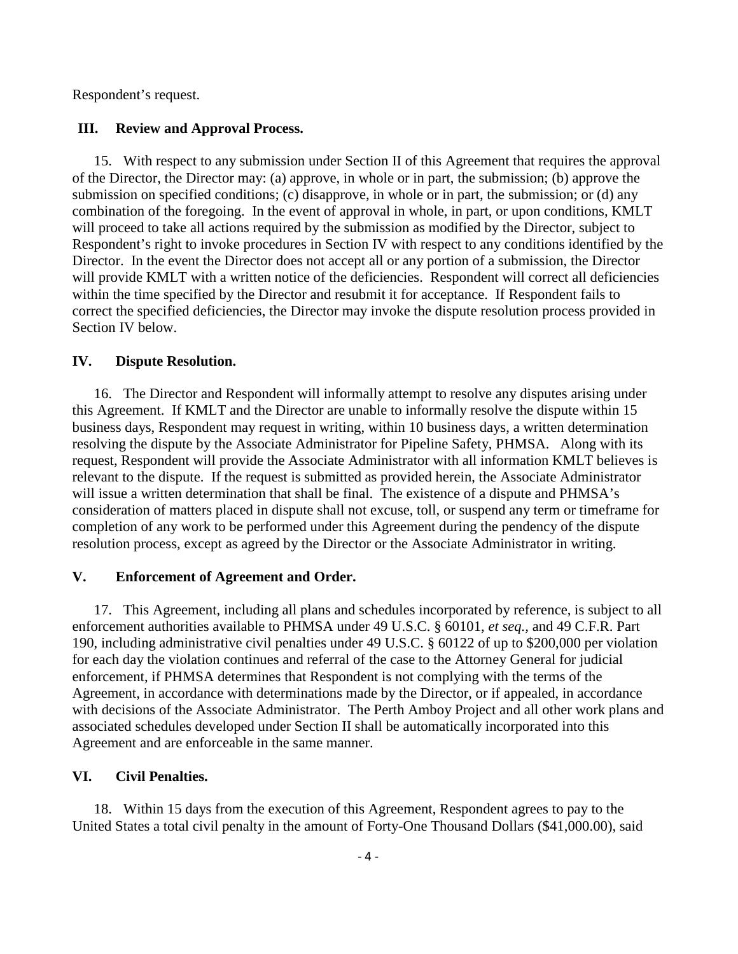Respondent's request.

#### **III. Review and Approval Process.**

15. With respect to any submission under Section II of this Agreement that requires the approval of the Director, the Director may: (a) approve, in whole or in part, the submission; (b) approve the submission on specified conditions; (c) disapprove, in whole or in part, the submission; or (d) any combination of the foregoing. In the event of approval in whole, in part, or upon conditions, KMLT will proceed to take all actions required by the submission as modified by the Director, subject to Respondent's right to invoke procedures in Section IV with respect to any conditions identified by the Director. In the event the Director does not accept all or any portion of a submission, the Director will provide KMLT with a written notice of the deficiencies. Respondent will correct all deficiencies within the time specified by the Director and resubmit it for acceptance. If Respondent fails to correct the specified deficiencies, the Director may invoke the dispute resolution process provided in Section IV below.

#### **IV. Dispute Resolution.**

16. The Director and Respondent will informally attempt to resolve any disputes arising under this Agreement. If KMLT and the Director are unable to informally resolve the dispute within 15 business days, Respondent may request in writing, within 10 business days, a written determination resolving the dispute by the Associate Administrator for Pipeline Safety, PHMSA. Along with its request, Respondent will provide the Associate Administrator with all information KMLT believes is relevant to the dispute. If the request is submitted as provided herein, the Associate Administrator will issue a written determination that shall be final. The existence of a dispute and PHMSA's consideration of matters placed in dispute shall not excuse, toll, or suspend any term or timeframe for completion of any work to be performed under this Agreement during the pendency of the dispute resolution process, except as agreed by the Director or the Associate Administrator in writing.

#### **V. Enforcement of Agreement and Order.**

17. This Agreement, including all plans and schedules incorporated by reference, is subject to all enforcement authorities available to PHMSA under 49 U.S.C. § 60101, *et seq.,* and 49 C.F.R. Part 190, including administrative civil penalties under 49 U.S.C. § 60122 of up to \$200,000 per violation for each day the violation continues and referral of the case to the Attorney General for judicial enforcement, if PHMSA determines that Respondent is not complying with the terms of the Agreement, in accordance with determinations made by the Director, or if appealed, in accordance with decisions of the Associate Administrator. The Perth Amboy Project and all other work plans and associated schedules developed under Section II shall be automatically incorporated into this Agreement and are enforceable in the same manner.

#### **VI. Civil Penalties.**

18. Within 15 days from the execution of this Agreement, Respondent agrees to pay to the United States a total civil penalty in the amount of Forty-One Thousand Dollars (\$41,000.00), said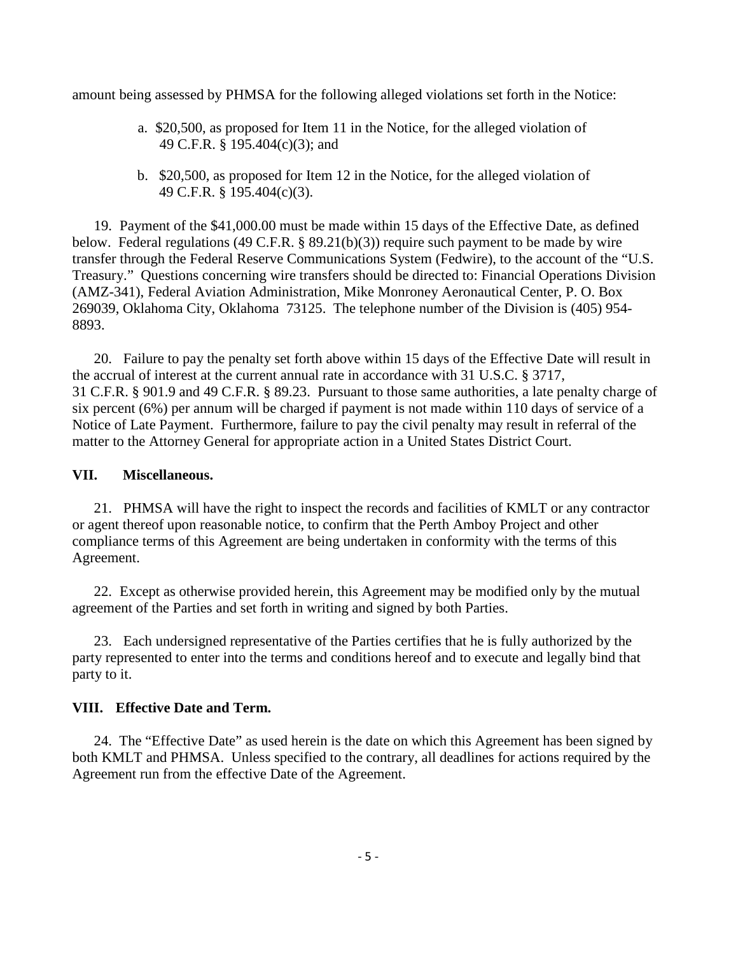amount being assessed by PHMSA for the following alleged violations set forth in the Notice:

- a. \$20,500, as proposed for Item 11 in the Notice, for the alleged violation of 49 C.F.R. § 195.404(c)(3); and
- b. \$20,500, as proposed for Item 12 in the Notice, for the alleged violation of 49 C.F.R. § 195.404(c)(3).

19. Payment of the \$41,000.00 must be made within 15 days of the Effective Date, as defined below. Federal regulations (49 C.F.R. § 89.21(b)(3)) require such payment to be made by wire transfer through the Federal Reserve Communications System (Fedwire), to the account of the "U.S. Treasury." Questions concerning wire transfers should be directed to: Financial Operations Division (AMZ-341), Federal Aviation Administration, Mike Monroney Aeronautical Center, P. O. Box 269039, Oklahoma City, Oklahoma 73125. The telephone number of the Division is (405) 954- 8893.

20. Failure to pay the penalty set forth above within 15 days of the Effective Date will result in the accrual of interest at the current annual rate in accordance with 31 U.S.C. § 3717, 31 C.F.R. § 901.9 and 49 C.F.R. § 89.23. Pursuant to those same authorities, a late penalty charge of six percent (6%) per annum will be charged if payment is not made within 110 days of service of a Notice of Late Payment. Furthermore, failure to pay the civil penalty may result in referral of the matter to the Attorney General for appropriate action in a United States District Court.

#### **VII. Miscellaneous.**

21. PHMSA will have the right to inspect the records and facilities of KMLT or any contractor or agent thereof upon reasonable notice, to confirm that the Perth Amboy Project and other compliance terms of this Agreement are being undertaken in conformity with the terms of this Agreement.

22. Except as otherwise provided herein, this Agreement may be modified only by the mutual agreement of the Parties and set forth in writing and signed by both Parties.

23. Each undersigned representative of the Parties certifies that he is fully authorized by the party represented to enter into the terms and conditions hereof and to execute and legally bind that party to it.

#### **VIII. Effective Date and Term.**

24. The "Effective Date" as used herein is the date on which this Agreement has been signed by both KMLT and PHMSA. Unless specified to the contrary, all deadlines for actions required by the Agreement run from the effective Date of the Agreement.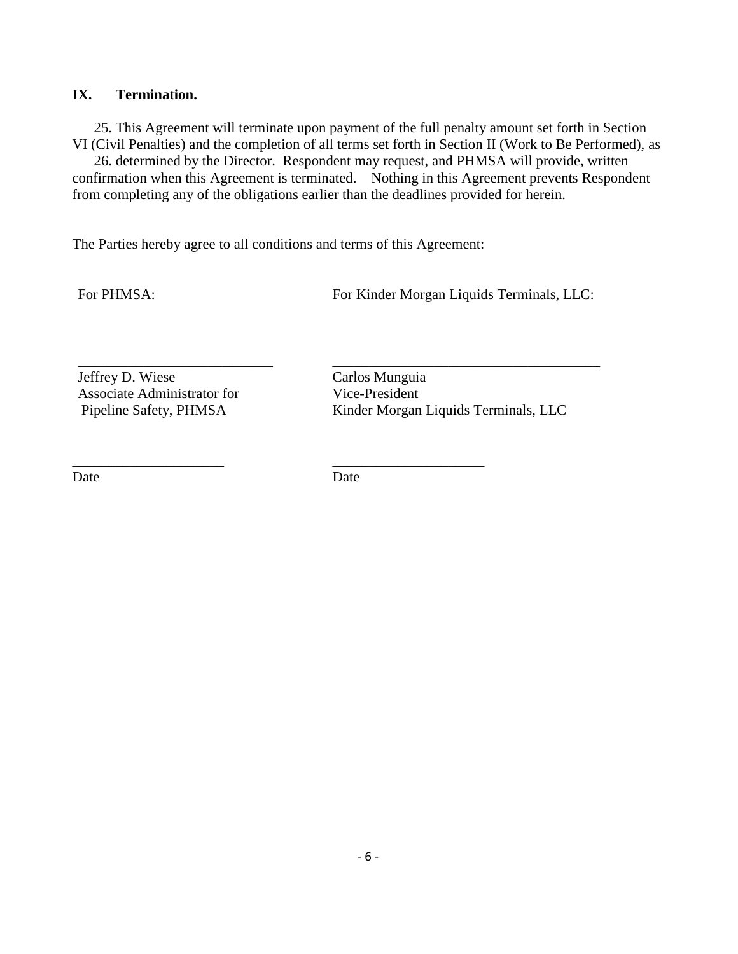#### **IX. Termination.**

25. This Agreement will terminate upon payment of the full penalty amount set forth in Section VI (Civil Penalties) and the completion of all terms set forth in Section II (Work to Be Performed), as

26. determined by the Director. Respondent may request, and PHMSA will provide, written confirmation when this Agreement is terminated. Nothing in this Agreement prevents Respondent from completing any of the obligations earlier than the deadlines provided for herein.

The Parties hereby agree to all conditions and terms of this Agreement:

\_\_\_\_\_\_\_\_\_\_\_\_\_\_\_\_\_\_\_\_\_ \_\_\_\_\_\_\_\_\_\_\_\_\_\_\_\_\_\_\_\_\_

For PHMSA: For Kinder Morgan Liquids Terminals, LLC:

Jeffrey D. Wiese Carlos Munguia Associate Administrator for Vice-President

Pipeline Safety, PHMSA Kinder Morgan Liquids Terminals, LLC

Date Date

\_\_\_\_\_\_\_\_\_\_\_\_\_\_\_\_\_\_\_\_\_\_\_\_\_\_\_ \_\_\_\_\_\_\_\_\_\_\_\_\_\_\_\_\_\_\_\_\_\_\_\_\_\_\_\_\_\_\_\_\_\_\_\_\_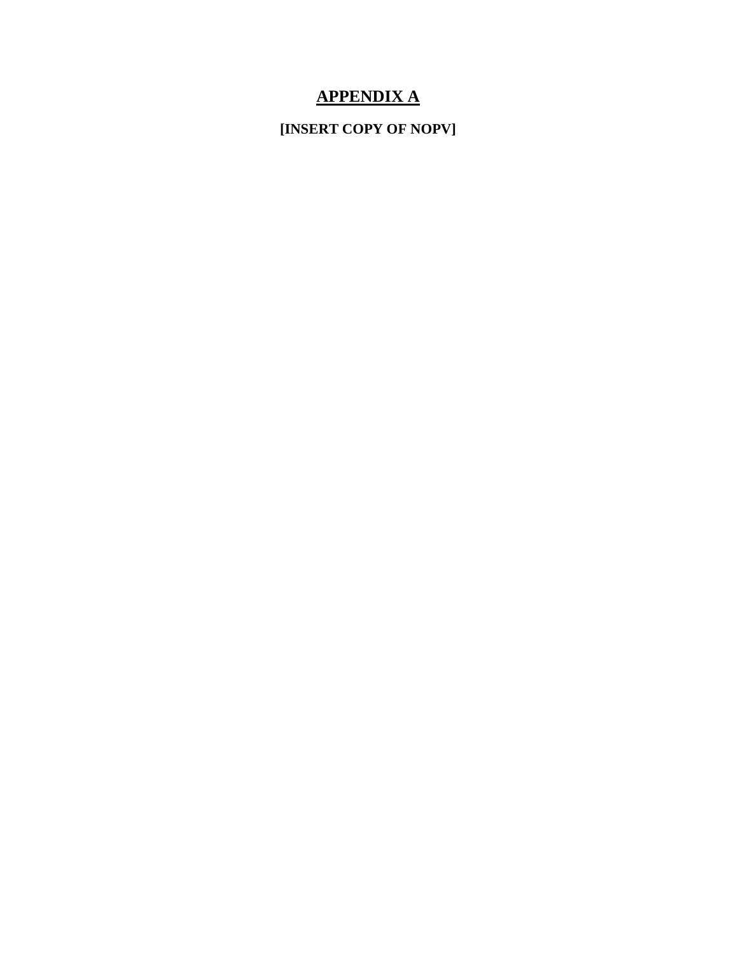# **APPENDIX A**

**[INSERT COPY OF NOPV]**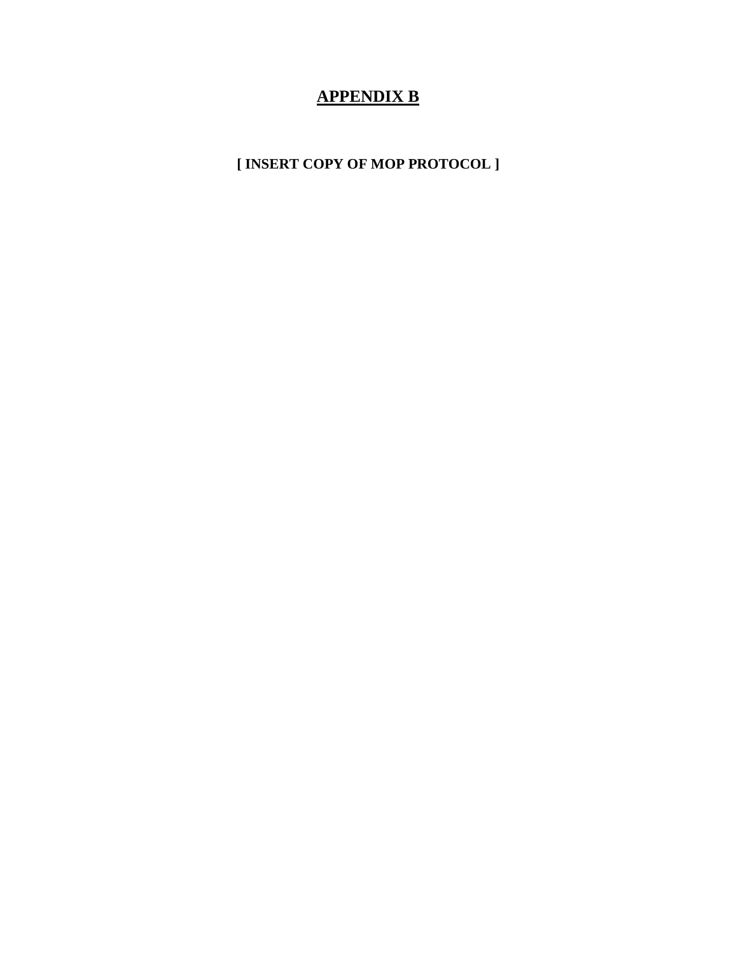# **APPENDIX B**

**[ INSERT COPY OF MOP PROTOCOL ]**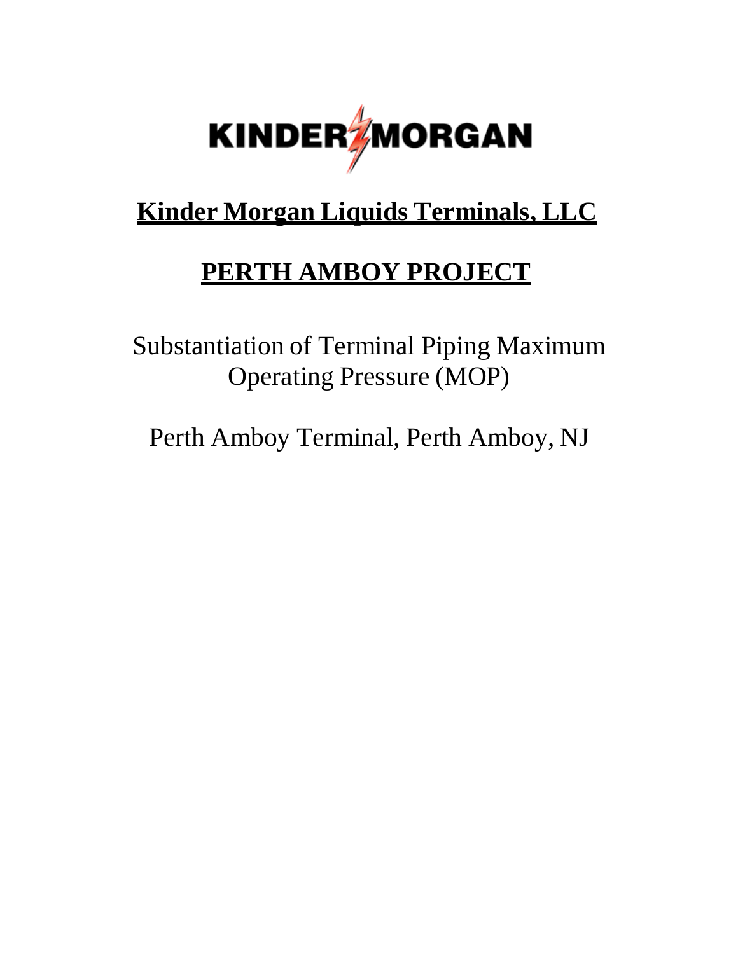

# **Kinder Morgan Liquids Terminals, LLC**

# **PERTH AMBOY PROJECT**

Substantiation of Terminal Piping Maximum Operating Pressure (MOP)

Perth Amboy Terminal, Perth Amboy, NJ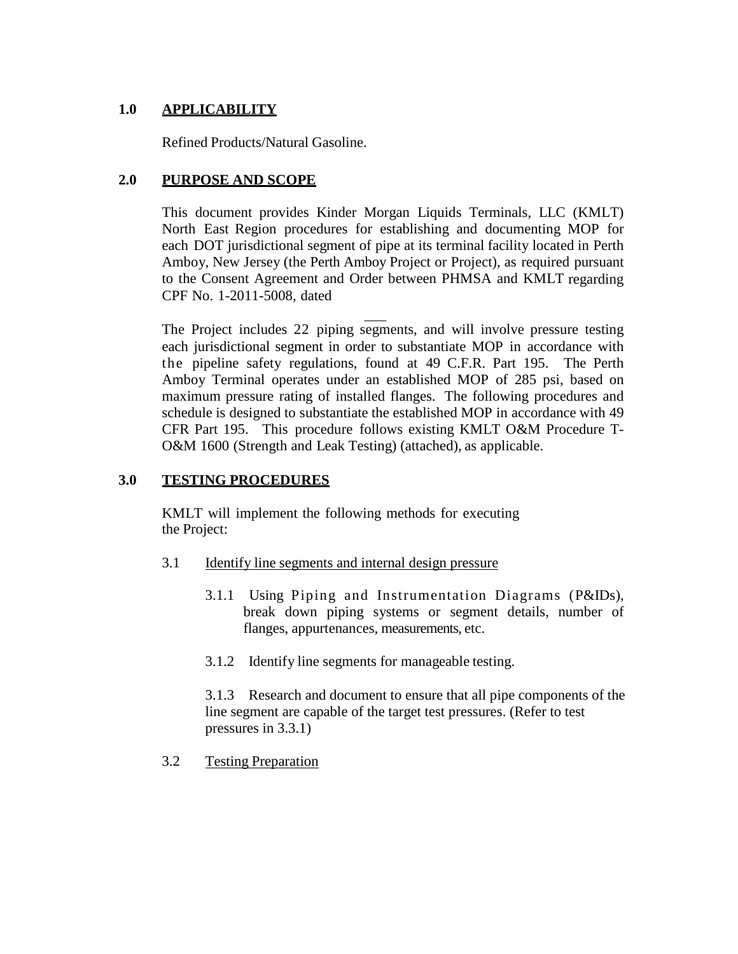## **1.0 APPLICABILITY**

Refined Products/Natural Gasoline.

## **2.0 PURPOSE AND SCOPE**

This document provides Kinder Morgan Liquids Terminals, LLC (KMLT) North East Region procedures for establishing and documenting MOP for each DOT jurisdictional segment of pipe at its terminal facility located in Perth Amboy, New Jersey (the Perth Amboy Project or Project), as required pursuant to the Consent Agreement and Order between PHMSA and KMLT regarding CPF No. 1-2011-5008, dated

The Project includes 22 piping segments, and will involve pressure testing each jurisdictional segment in order to substantiate MOP in accordance with the pipeline safety regulations, found at 49 C.F.R. Part 195. The Perth Amboy Terminal operates under an established MOP of 285 psi, based on maximum pressure rating of installed flanges. The following procedures and schedule is designed to substantiate the established MOP in accordance with 49 CFR Part 195. This procedure follows existing KMLT O&M Procedure T-O&M 1600 (Strength and Leak Testing) (attached), as applicable.

## **3.0 TESTING PROCEDURES**

KMLT will implement the following methods for executing the Project:

- 3.1 Identify line segments and internal design pressure
	- 3.1.1 Using Piping and Instrumentation Diagrams (P&IDs), break down piping systems or segment details, number of flanges, appurtenances, measurements, etc.
	- 3.1.2 Identify line segments for manageable testing.

3.1.3 Research and document to ensure that all pipe components of the line segment are capable of the target test pressures. (Refer to test pressures in 3.3.1)

3.2 Testing Preparation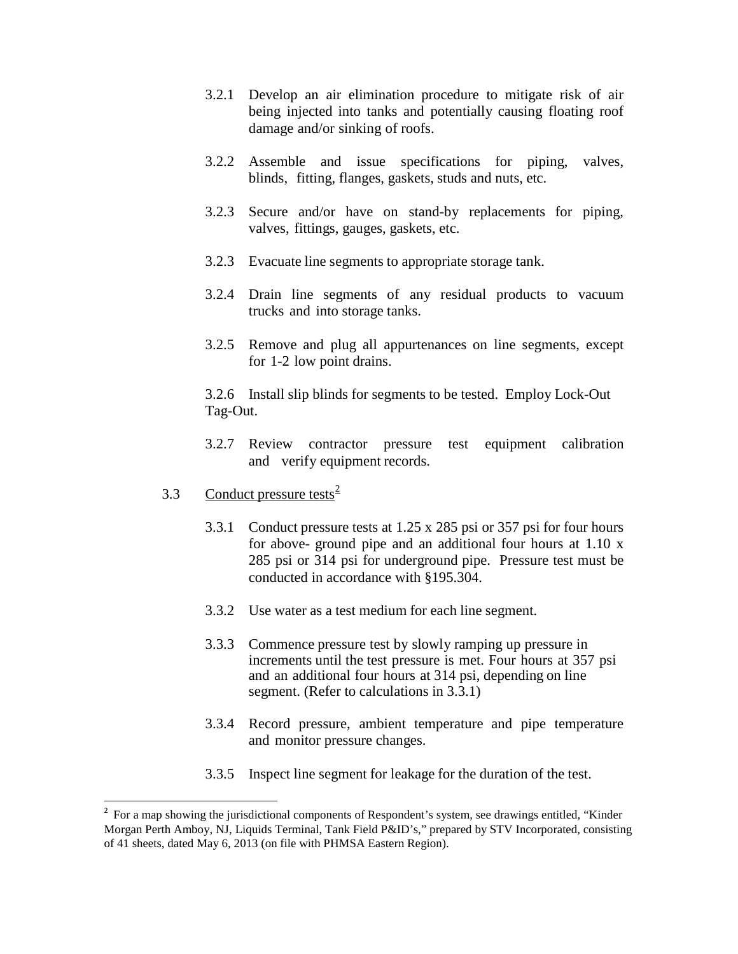- 3.2.1 Develop an air elimination procedure to mitigate risk of air being injected into tanks and potentially causing floating roof damage and/or sinking of roofs.
- 3.2.2 Assemble and issue specifications for piping, valves, blinds, fitting, flanges, gaskets, studs and nuts, etc.
- 3.2.3 Secure and/or have on stand-by replacements for piping, valves, fittings, gauges, gaskets, etc.
- 3.2.3 Evacuate line segments to appropriate storage tank.
- 3.2.4 Drain line segments of any residual products to vacuum trucks and into storage tanks.
- 3.2.5 Remove and plug all appurtenances on line segments, except for 1-2 low point drains.

3.2.6 Install slip blinds for segments to be tested. Employ Lock-Out Tag-Out.

- 3.2.7 Review contractor pressure test equipment calibration and verify equipment records.
- 3.3 Conduct pressure tests<sup>2</sup>

 $\overline{a}$ 

- 3.3.1 Conduct pressure tests at 1.25 x 285 psi or 357 psi for four hours for above- ground pipe and an additional four hours at 1.10 x 285 psi or 314 psi for underground pipe. Pressure test must be conducted in accordance with §195.304.
- 3.3.2 Use water as a test medium for each line segment.
- 3.3.3 Commence pressure test by slowly ramping up pressure in increments until the test pressure is met. Four hours at 357 psi and an additional four hours at 314 psi, depending on line segment. (Refer to calculations in 3.3.1)
- 3.3.4 Record pressure, ambient temperature and pipe temperature and monitor pressure changes.
- 3.3.5 Inspect line segment for leakage for the duration of the test.

<sup>2</sup> For a map showing the jurisdictional components of Respondent's system, see drawings entitled, "Kinder Morgan Perth Amboy, NJ, Liquids Terminal, Tank Field P&ID's," prepared by STV Incorporated, consisting of 41 sheets, dated May 6, 2013 (on file with PHMSA Eastern Region).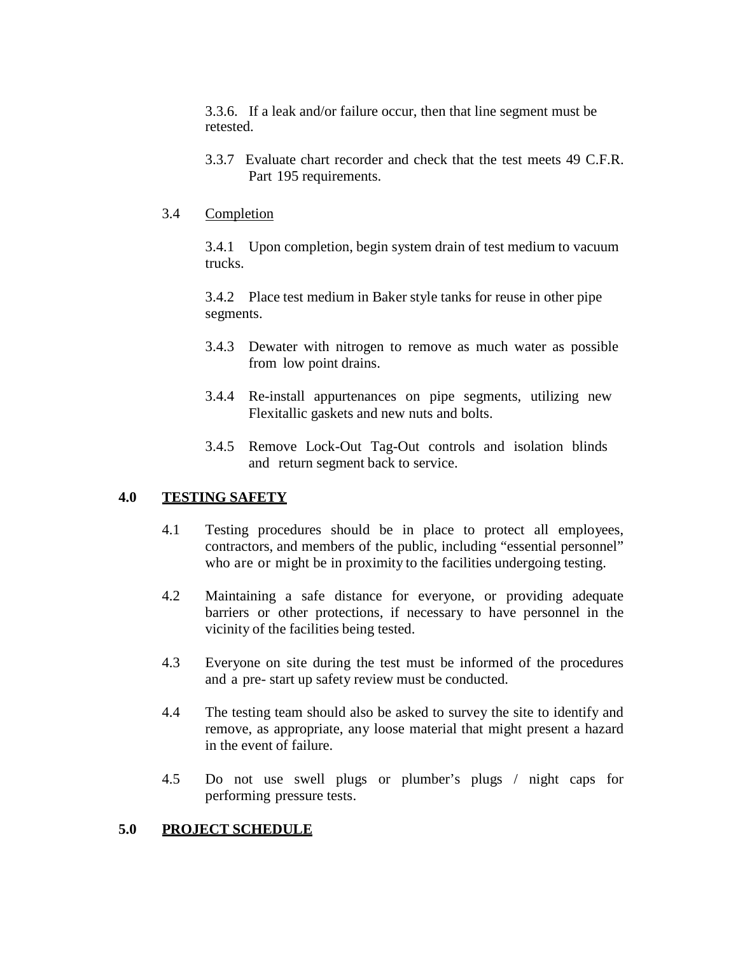3.3.6. If a leak and/or failure occur, then that line segment must be retested.

3.3.7 Evaluate chart recorder and check that the test meets 49 C.F.R. Part 195 requirements.

#### 3.4 Completion

3.4.1 Upon completion, begin system drain of test medium to vacuum trucks.

3.4.2 Place test medium in Baker style tanks for reuse in other pipe segments.

- 3.4.3 Dewater with nitrogen to remove as much water as possible from low point drains.
- 3.4.4 Re-install appurtenances on pipe segments, utilizing new Flexitallic gaskets and new nuts and bolts.
- 3.4.5 Remove Lock-Out Tag-Out controls and isolation blinds and return segment back to service.

#### **4.0 TESTING SAFETY**

- 4.1 Testing procedures should be in place to protect all employees, contractors, and members of the public, including "essential personnel" who are or might be in proximity to the facilities undergoing testing.
- 4.2 Maintaining a safe distance for everyone, or providing adequate barriers or other protections, if necessary to have personnel in the vicinity of the facilities being tested.
- 4.3 Everyone on site during the test must be informed of the procedures and a pre- start up safety review must be conducted.
- 4.4 The testing team should also be asked to survey the site to identify and remove, as appropriate, any loose material that might present a hazard in the event of failure.
- 4.5 Do not use swell plugs or plumber's plugs / night caps for performing pressure tests.

#### **5.0 PROJECT SCHEDULE**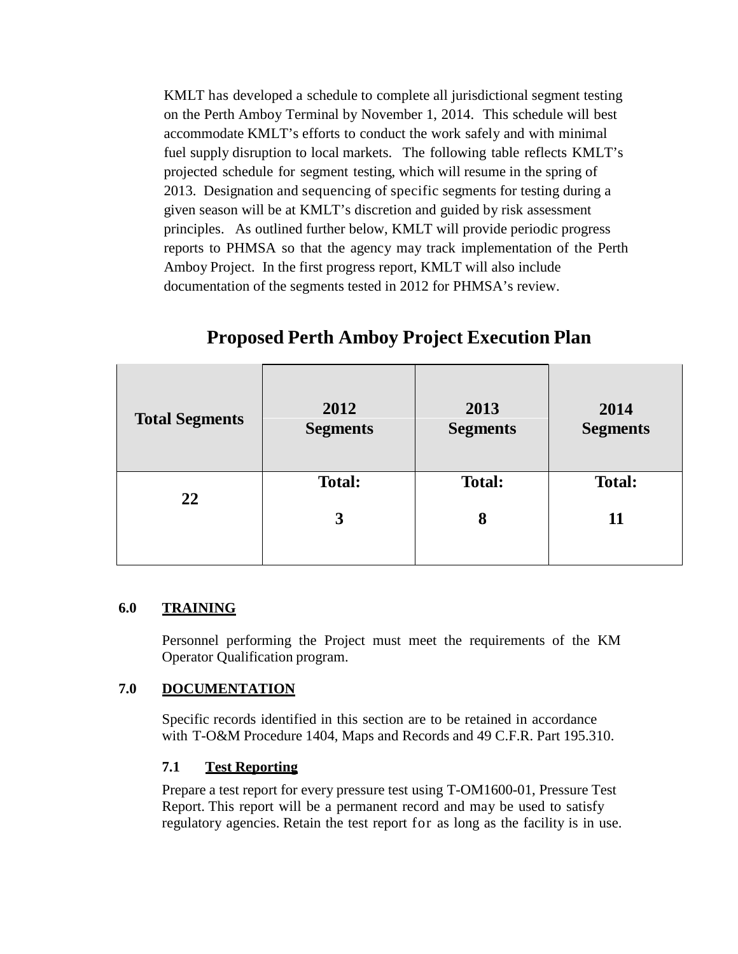KMLT has developed a schedule to complete all jurisdictional segment testing on the Perth Amboy Terminal by November 1, 2014. This schedule will best accommodate KMLT's efforts to conduct the work safely and with minimal fuel supply disruption to local markets. The following table reflects KMLT's projected schedule for segment testing, which will resume in the spring of 2013. Designation and sequencing of specific segments for testing during a given season will be at KMLT's discretion and guided by risk assessment principles. As outlined further below, KMLT will provide periodic progress reports to PHMSA so that the agency may track implementation of the Perth Amboy Project. In the first progress report, KMLT will also include documentation of the segments tested in 2012 for PHMSA's review.

| <b>Total Segments</b> | 2012<br><b>Segments</b> | 2013<br><b>Segments</b> | 2014<br><b>Segments</b> |
|-----------------------|-------------------------|-------------------------|-------------------------|
| 22                    | <b>Total:</b>           | <b>Total:</b>           | <b>Total:</b>           |
|                       | 3                       | 8                       | 11                      |
|                       |                         |                         |                         |

# **Proposed Perth Amboy Project Execution Plan**

#### **6.0 TRAINING**

Personnel performing the Project must meet the requirements of the KM Operator Qualification program.

#### **7.0 DOCUMENTATION**

Specific records identified in this section are to be retained in accordance with T-O&M Procedure 1404, Maps and Records and 49 C.F.R. Part 195.310.

# **7.1 Test Reporting**

Prepare a test report for every pressure test using T-OM1600-01, Pressure Test Report. This report will be a permanent record and may be used to satisfy regulatory agencies. Retain the test report for as long as the facility is in use.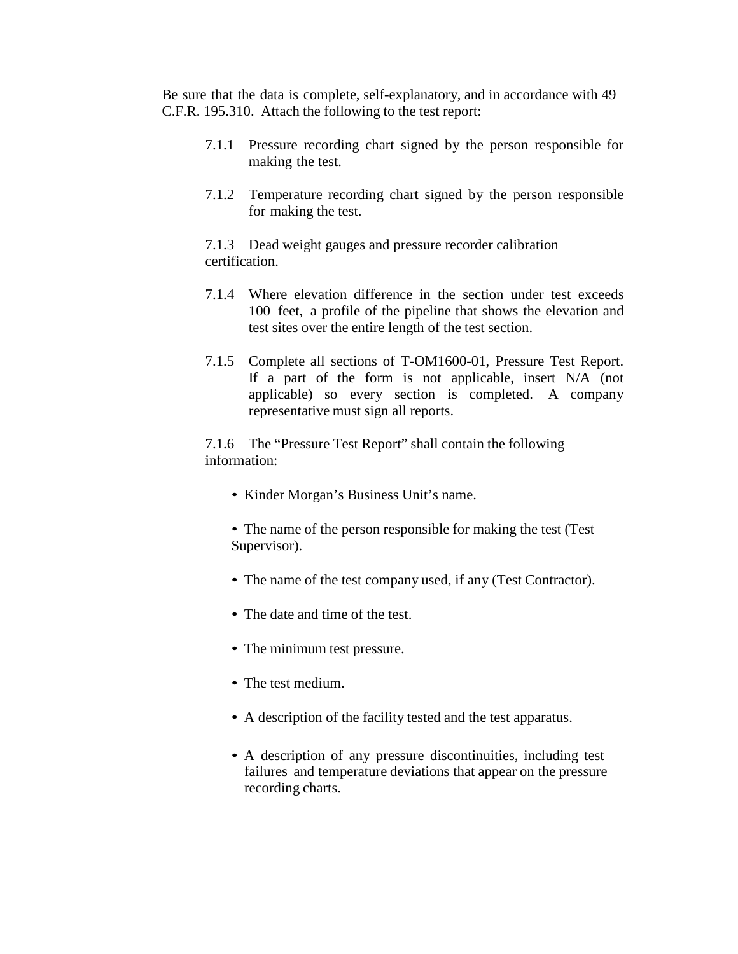Be sure that the data is complete, self-explanatory, and in accordance with 49 C.F.R. 195.310. Attach the following to the test report:

- 7.1.1 Pressure recording chart signed by the person responsible for making the test.
- 7.1.2 Temperature recording chart signed by the person responsible for making the test.

7.1.3 Dead weight gauges and pressure recorder calibration certification.

- 7.1.4 Where elevation difference in the section under test exceeds 100 feet, a profile of the pipeline that shows the elevation and test sites over the entire length of the test section.
- 7.1.5 Complete all sections of T-OM1600-01, Pressure Test Report. If a part of the form is not applicable, insert N/A (not applicable) so every section is completed. A company representative must sign all reports.

7.1.6 The "Pressure Test Report" shall contain the following information:

- Kinder Morgan's Business Unit's name.
- The name of the person responsible for making the test (Test Supervisor).
- The name of the test company used, if any (Test Contractor).
- The date and time of the test.
- The minimum test pressure.
- The test medium.
- A description of the facility tested and the test apparatus.
- A description of any pressure discontinuities, including test failures and temperature deviations that appear on the pressure recording charts.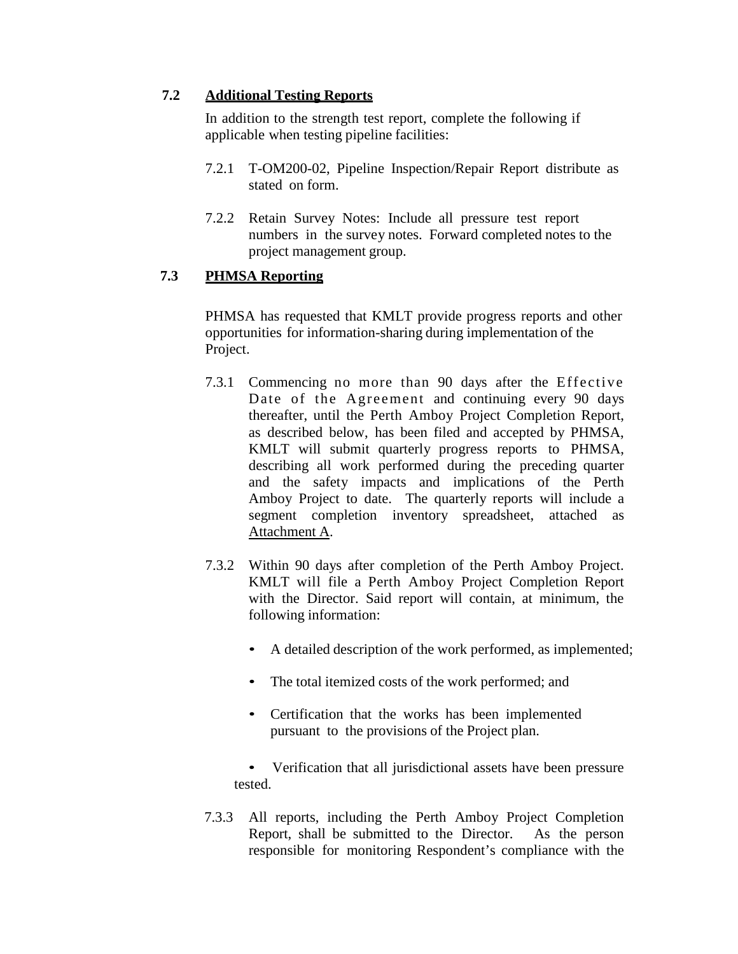#### **7.2 Additional Testing Reports**

In addition to the strength test report, complete the following if applicable when testing pipeline facilities:

- 7.2.1 T-OM200-02, Pipeline Inspection/Repair Report distribute as stated on form.
- 7.2.2 Retain Survey Notes: Include all pressure test report numbers in the survey notes. Forward completed notes to the project management group.

#### **7.3 PHMSA Reporting**

PHMSA has requested that KMLT provide progress reports and other opportunities for information-sharing during implementation of the Project.

- 7.3.1 Commencing no more than 90 days after the Effective Date of the Agreement and continuing every 90 days thereafter, until the Perth Amboy Project Completion Report, as described below, has been filed and accepted by PHMSA, KMLT will submit quarterly progress reports to PHMSA, describing all work performed during the preceding quarter and the safety impacts and implications of the Perth Amboy Project to date. The quarterly reports will include a segment completion inventory spreadsheet, attached as Attachment A.
- 7.3.2 Within 90 days after completion of the Perth Amboy Project. KMLT will file a Perth Amboy Project Completion Report with the Director. Said report will contain, at minimum, the following information:
	- A detailed description of the work performed, as implemented;
	- The total itemized costs of the work performed; and
	- Certification that the works has been implemented pursuant to the provisions of the Project plan.
	- Verification that all jurisdictional assets have been pressure tested.
- 7.3.3 All reports, including the Perth Amboy Project Completion Report, shall be submitted to the Director. As the person responsible for monitoring Respondent's compliance with the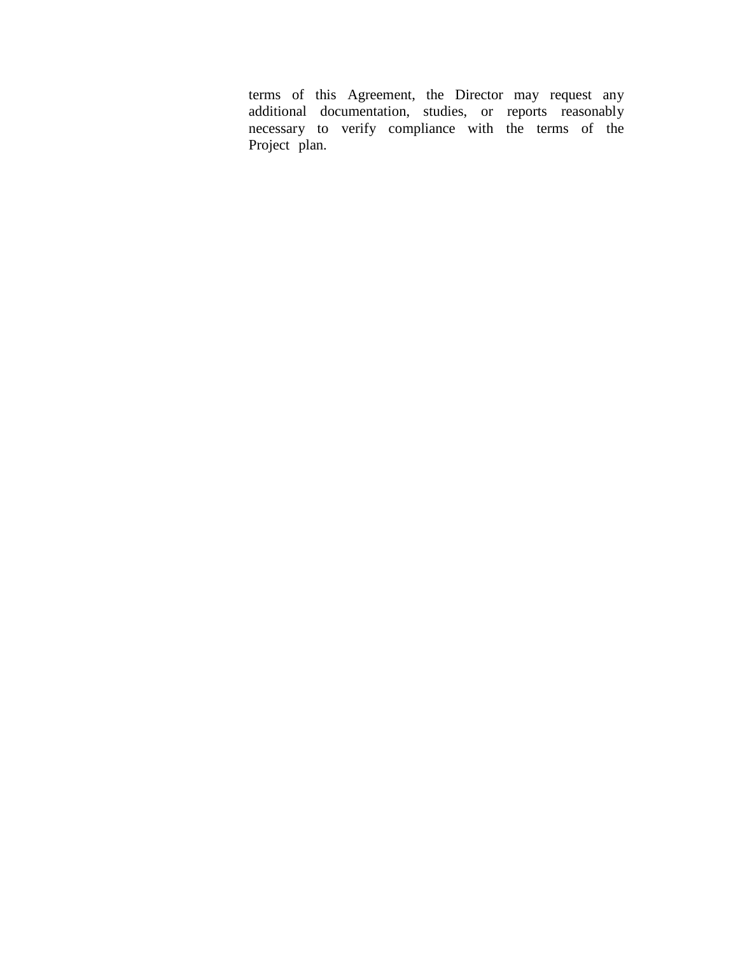terms of this Agreement, the Director may request any additional documentation, studies, or reports reasonably necessary to verify compliance with the terms of the Project plan.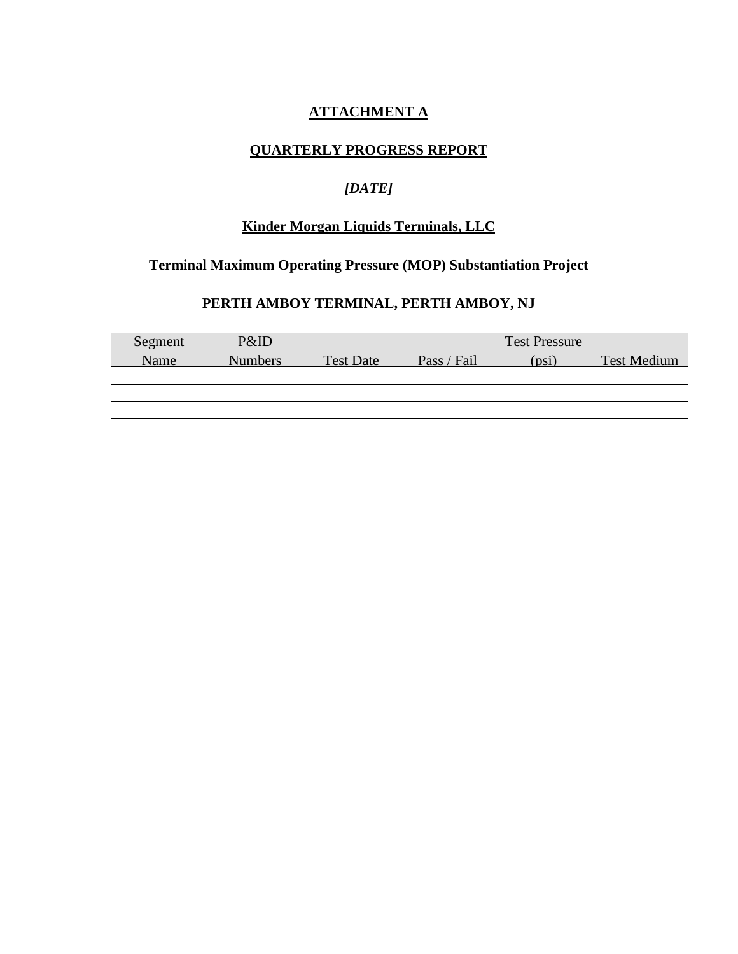# **ATTACHMENT A**

## **QUARTERLY PROGRESS REPORT**

# *[DATE]*

## **Kinder Morgan Liquids Terminals, LLC**

# **Terminal Maximum Operating Pressure (MOP) Substantiation Project**

# **PERTH AMBOY TERMINAL, PERTH AMBOY, NJ**

| Segment | P&ID           |                  |             | <b>Test Pressure</b> |                    |
|---------|----------------|------------------|-------------|----------------------|--------------------|
| Name    | <b>Numbers</b> | <b>Test Date</b> | Pass / Fail | (psi)                | <b>Test Medium</b> |
|         |                |                  |             |                      |                    |
|         |                |                  |             |                      |                    |
|         |                |                  |             |                      |                    |
|         |                |                  |             |                      |                    |
|         |                |                  |             |                      |                    |